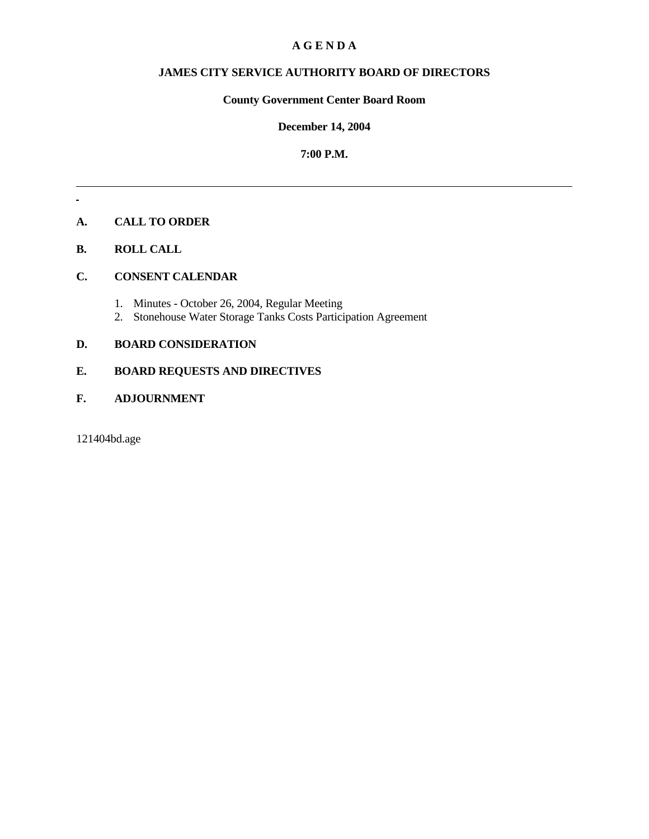## **A G E N D A**

## **JAMES CITY SERVICE AUTHORITY BOARD OF DIRECTORS**

## **County Government Center Board Room**

## **December 14, 2004**

## **7:00 P.M.**

# **A. CALL TO ORDER**

## **B. ROLL CALL**

 $\mathcal{L}^{\mathcal{L}}$ 

## **C. CONSENT CALENDAR**

- 1. Minutes October 26, 2004, Regular Meeting
- 2. Stonehouse Water Storage Tanks Costs Participation Agreement

# **D. BOARD CONSIDERATION**

# **E. BOARD REQUESTS AND DIRECTIVES**

## **F. ADJOURNMENT**

121404bd.age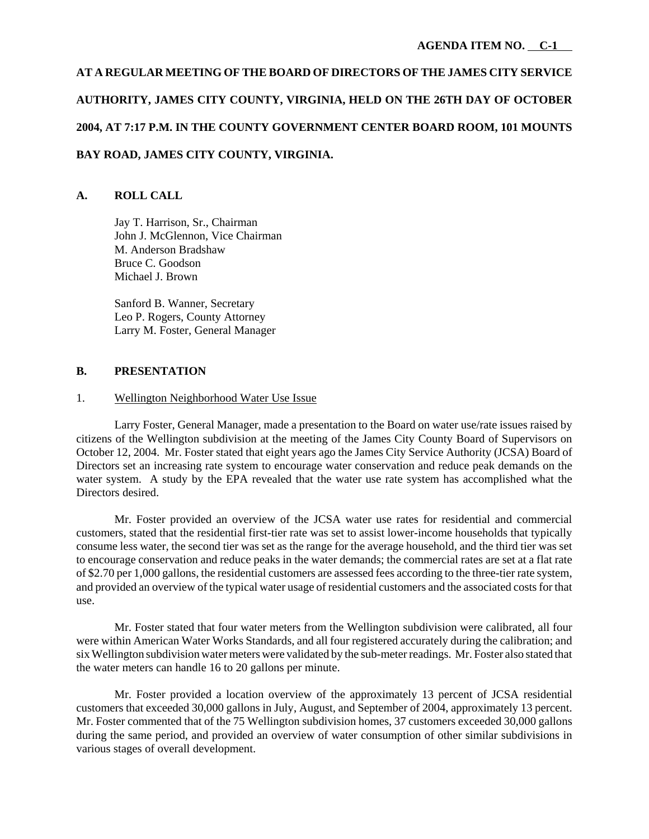# **AT A REGULAR MEETING OF THE BOARD OF DIRECTORS OF THE JAMES CITY SERVICE AUTHORITY, JAMES CITY COUNTY, VIRGINIA, HELD ON THE 26TH DAY OF OCTOBER 2004, AT 7:17 P.M. IN THE COUNTY GOVERNMENT CENTER BOARD ROOM, 101 MOUNTS BAY ROAD, JAMES CITY COUNTY, VIRGINIA.**

## **A. ROLL CALL**

Jay T. Harrison, Sr., Chairman John J. McGlennon, Vice Chairman M. Anderson Bradshaw Bruce C. Goodson Michael J. Brown

Sanford B. Wanner, Secretary Leo P. Rogers, County Attorney Larry M. Foster, General Manager

#### **B. PRESENTATION**

#### 1. Wellington Neighborhood Water Use Issue

Larry Foster, General Manager, made a presentation to the Board on water use/rate issues raised by citizens of the Wellington subdivision at the meeting of the James City County Board of Supervisors on October 12, 2004. Mr. Foster stated that eight years ago the James City Service Authority (JCSA) Board of Directors set an increasing rate system to encourage water conservation and reduce peak demands on the water system. A study by the EPA revealed that the water use rate system has accomplished what the Directors desired.

Mr. Foster provided an overview of the JCSA water use rates for residential and commercial customers, stated that the residential first-tier rate was set to assist lower-income households that typically consume less water, the second tier was set as the range for the average household, and the third tier was set to encourage conservation and reduce peaks in the water demands; the commercial rates are set at a flat rate of \$2.70 per 1,000 gallons, the residential customers are assessed fees according to the three-tier rate system, and provided an overview of the typical water usage of residential customers and the associated costs for that use.

Mr. Foster stated that four water meters from the Wellington subdivision were calibrated, all four were within American Water Works Standards, and all four registered accurately during the calibration; and six Wellington subdivision water meters were validated by the sub-meter readings. Mr. Foster also stated that the water meters can handle 16 to 20 gallons per minute.

Mr. Foster provided a location overview of the approximately 13 percent of JCSA residential customers that exceeded 30,000 gallons in July, August, and September of 2004, approximately 13 percent. Mr. Foster commented that of the 75 Wellington subdivision homes, 37 customers exceeded 30,000 gallons during the same period, and provided an overview of water consumption of other similar subdivisions in various stages of overall development.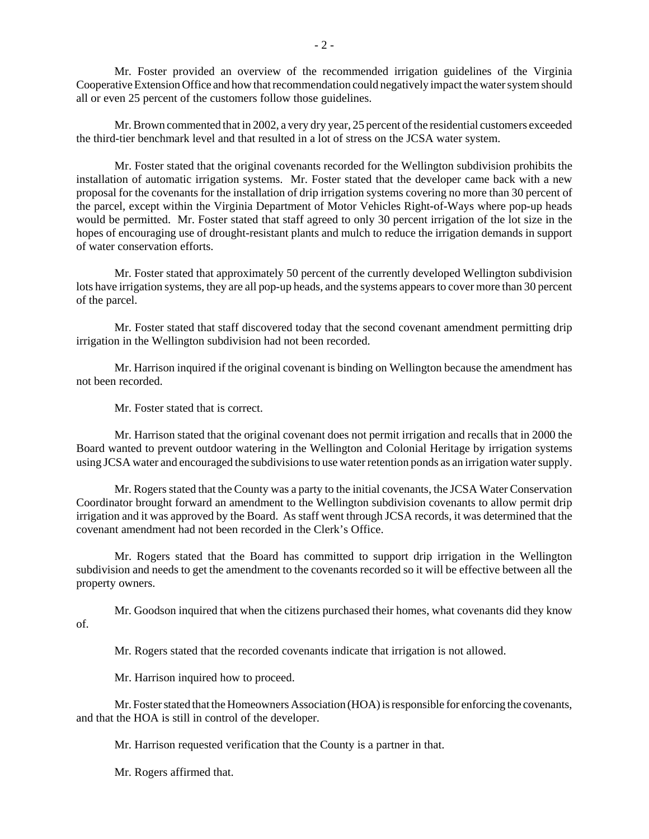Mr. Foster provided an overview of the recommended irrigation guidelines of the Virginia Cooperative Extension Office and how that recommendation could negatively impact the water system should all or even 25 percent of the customers follow those guidelines.

Mr. Brown commented that in 2002, a very dry year, 25 percent of the residential customers exceeded the third-tier benchmark level and that resulted in a lot of stress on the JCSA water system.

Mr. Foster stated that the original covenants recorded for the Wellington subdivision prohibits the installation of automatic irrigation systems. Mr. Foster stated that the developer came back with a new proposal for the covenants for the installation of drip irrigation systems covering no more than 30 percent of the parcel, except within the Virginia Department of Motor Vehicles Right-of-Ways where pop-up heads would be permitted. Mr. Foster stated that staff agreed to only 30 percent irrigation of the lot size in the hopes of encouraging use of drought-resistant plants and mulch to reduce the irrigation demands in support of water conservation efforts.

Mr. Foster stated that approximately 50 percent of the currently developed Wellington subdivision lots have irrigation systems, they are all pop-up heads, and the systems appears to cover more than 30 percent of the parcel.

Mr. Foster stated that staff discovered today that the second covenant amendment permitting drip irrigation in the Wellington subdivision had not been recorded.

Mr. Harrison inquired if the original covenant is binding on Wellington because the amendment has not been recorded.

Mr. Foster stated that is correct.

Mr. Harrison stated that the original covenant does not permit irrigation and recalls that in 2000 the Board wanted to prevent outdoor watering in the Wellington and Colonial Heritage by irrigation systems using JCSA water and encouraged the subdivisions to use water retention ponds as an irrigation water supply.

Mr. Rogers stated that the County was a party to the initial covenants, the JCSA Water Conservation Coordinator brought forward an amendment to the Wellington subdivision covenants to allow permit drip irrigation and it was approved by the Board. As staff went through JCSA records, it was determined that the covenant amendment had not been recorded in the Clerk's Office.

Mr. Rogers stated that the Board has committed to support drip irrigation in the Wellington subdivision and needs to get the amendment to the covenants recorded so it will be effective between all the property owners.

Mr. Goodson inquired that when the citizens purchased their homes, what covenants did they know of.

Mr. Rogers stated that the recorded covenants indicate that irrigation is not allowed.

Mr. Harrison inquired how to proceed.

Mr. Foster stated that the Homeowners Association (HOA) is responsible for enforcing the covenants, and that the HOA is still in control of the developer.

Mr. Harrison requested verification that the County is a partner in that.

Mr. Rogers affirmed that.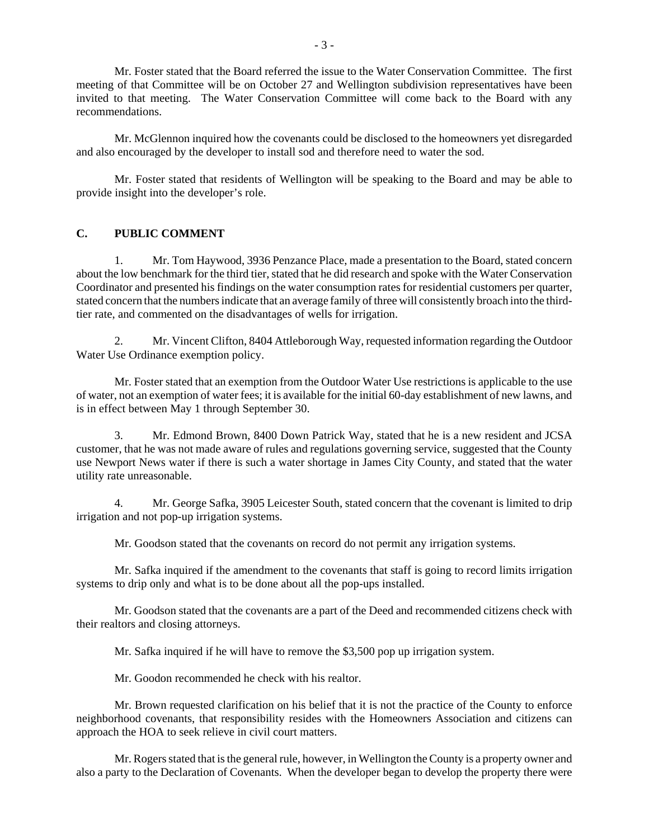Mr. Foster stated that the Board referred the issue to the Water Conservation Committee. The first meeting of that Committee will be on October 27 and Wellington subdivision representatives have been invited to that meeting. The Water Conservation Committee will come back to the Board with any recommendations.

Mr. McGlennon inquired how the covenants could be disclosed to the homeowners yet disregarded and also encouraged by the developer to install sod and therefore need to water the sod.

Mr. Foster stated that residents of Wellington will be speaking to the Board and may be able to provide insight into the developer's role.

## **C. PUBLIC COMMENT**

1. Mr. Tom Haywood, 3936 Penzance Place, made a presentation to the Board, stated concern about the low benchmark for the third tier, stated that he did research and spoke with the Water Conservation Coordinator and presented his findings on the water consumption rates for residential customers per quarter, stated concern that the numbers indicate that an average family of three will consistently broach into the thirdtier rate, and commented on the disadvantages of wells for irrigation.

2. Mr. Vincent Clifton, 8404 Attleborough Way, requested information regarding the Outdoor Water Use Ordinance exemption policy.

Mr. Foster stated that an exemption from the Outdoor Water Use restrictions is applicable to the use of water, not an exemption of water fees; it is available for the initial 60-day establishment of new lawns, and is in effect between May 1 through September 30.

3. Mr. Edmond Brown, 8400 Down Patrick Way, stated that he is a new resident and JCSA customer, that he was not made aware of rules and regulations governing service, suggested that the County use Newport News water if there is such a water shortage in James City County, and stated that the water utility rate unreasonable.

4. Mr. George Safka, 3905 Leicester South, stated concern that the covenant is limited to drip irrigation and not pop-up irrigation systems.

Mr. Goodson stated that the covenants on record do not permit any irrigation systems.

Mr. Safka inquired if the amendment to the covenants that staff is going to record limits irrigation systems to drip only and what is to be done about all the pop-ups installed.

Mr. Goodson stated that the covenants are a part of the Deed and recommended citizens check with their realtors and closing attorneys.

Mr. Safka inquired if he will have to remove the \$3,500 pop up irrigation system.

Mr. Goodon recommended he check with his realtor.

Mr. Brown requested clarification on his belief that it is not the practice of the County to enforce neighborhood covenants, that responsibility resides with the Homeowners Association and citizens can approach the HOA to seek relieve in civil court matters.

Mr. Rogers stated that is the general rule, however, in Wellington the County is a property owner and also a party to the Declaration of Covenants. When the developer began to develop the property there were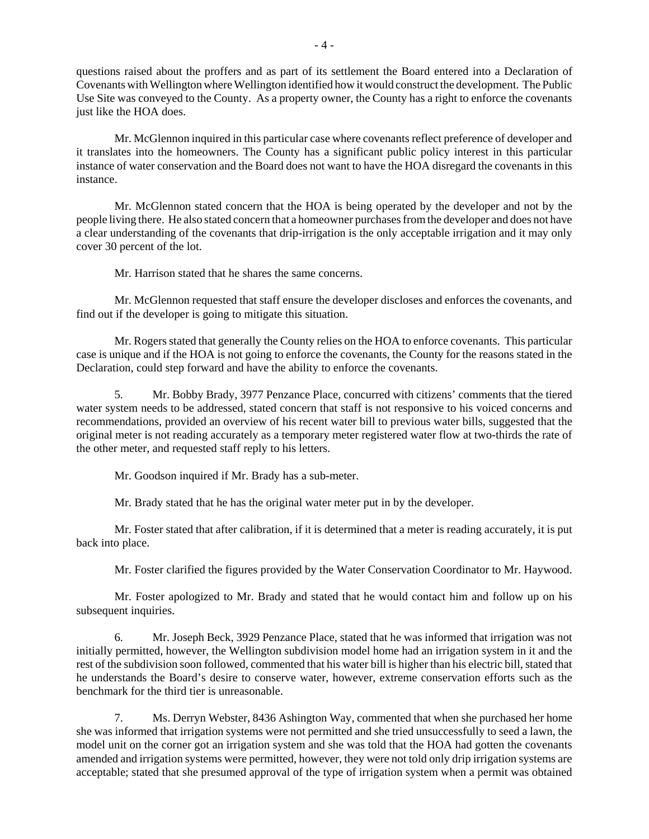questions raised about the proffers and as part of its settlement the Board entered into a Declaration of Covenants with Wellington where Wellington identified how it would construct the development. The Public Use Site was conveyed to the County. As a property owner, the County has a right to enforce the covenants just like the HOA does.

Mr. McGlennon inquired in this particular case where covenants reflect preference of developer and it translates into the homeowners. The County has a significant public policy interest in this particular instance of water conservation and the Board does not want to have the HOA disregard the covenants in this instance.

Mr. McGlennon stated concern that the HOA is being operated by the developer and not by the people living there. He also stated concern that a homeowner purchases from the developer and does not have a clear understanding of the covenants that drip-irrigation is the only acceptable irrigation and it may only cover 30 percent of the lot.

Mr. Harrison stated that he shares the same concerns.

Mr. McGlennon requested that staff ensure the developer discloses and enforces the covenants, and find out if the developer is going to mitigate this situation.

Mr. Rogers stated that generally the County relies on the HOA to enforce covenants. This particular case is unique and if the HOA is not going to enforce the covenants, the County for the reasons stated in the Declaration, could step forward and have the ability to enforce the covenants.

5. Mr. Bobby Brady, 3977 Penzance Place, concurred with citizens' comments that the tiered water system needs to be addressed, stated concern that staff is not responsive to his voiced concerns and recommendations, provided an overview of his recent water bill to previous water bills, suggested that the original meter is not reading accurately as a temporary meter registered water flow at two-thirds the rate of the other meter, and requested staff reply to his letters.

Mr. Goodson inquired if Mr. Brady has a sub-meter.

Mr. Brady stated that he has the original water meter put in by the developer.

Mr. Foster stated that after calibration, if it is determined that a meter is reading accurately, it is put back into place.

Mr. Foster clarified the figures provided by the Water Conservation Coordinator to Mr. Haywood.

Mr. Foster apologized to Mr. Brady and stated that he would contact him and follow up on his subsequent inquiries.

6. Mr. Joseph Beck, 3929 Penzance Place, stated that he was informed that irrigation was not initially permitted, however, the Wellington subdivision model home had an irrigation system in it and the rest of the subdivision soon followed, commented that his water bill is higher than his electric bill, stated that he understands the Board's desire to conserve water, however, extreme conservation efforts such as the benchmark for the third tier is unreasonable.

7. Ms. Derryn Webster, 8436 Ashington Way, commented that when she purchased her home she was informed that irrigation systems were not permitted and she tried unsuccessfully to seed a lawn, the model unit on the corner got an irrigation system and she was told that the HOA had gotten the covenants amended and irrigation systems were permitted, however, they were not told only drip irrigation systems are acceptable; stated that she presumed approval of the type of irrigation system when a permit was obtained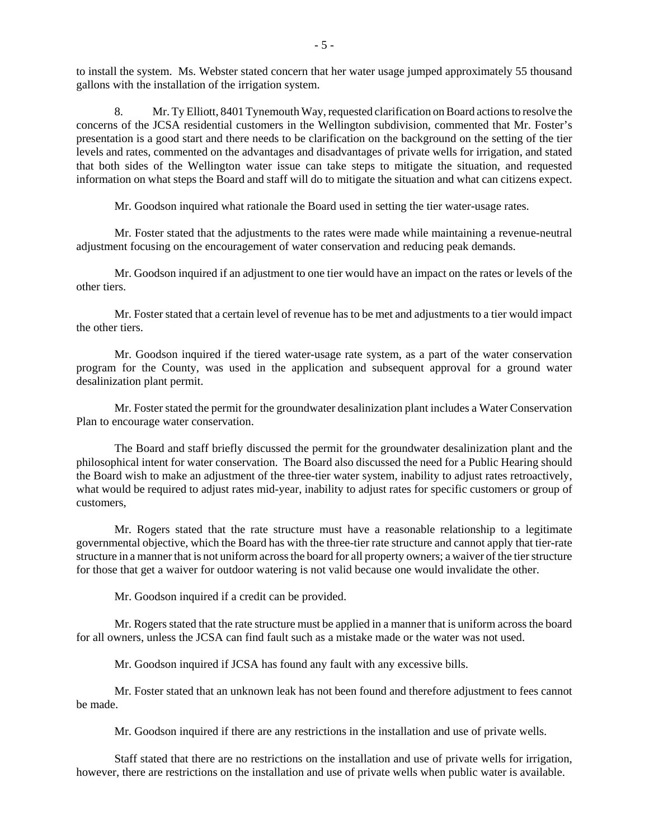to install the system. Ms. Webster stated concern that her water usage jumped approximately 55 thousand gallons with the installation of the irrigation system.

8. Mr. Ty Elliott, 8401 Tynemouth Way, requested clarification on Board actions to resolve the concerns of the JCSA residential customers in the Wellington subdivision, commented that Mr. Foster's presentation is a good start and there needs to be clarification on the background on the setting of the tier levels and rates, commented on the advantages and disadvantages of private wells for irrigation, and stated that both sides of the Wellington water issue can take steps to mitigate the situation, and requested information on what steps the Board and staff will do to mitigate the situation and what can citizens expect.

Mr. Goodson inquired what rationale the Board used in setting the tier water-usage rates.

Mr. Foster stated that the adjustments to the rates were made while maintaining a revenue-neutral adjustment focusing on the encouragement of water conservation and reducing peak demands.

Mr. Goodson inquired if an adjustment to one tier would have an impact on the rates or levels of the other tiers.

Mr. Foster stated that a certain level of revenue has to be met and adjustments to a tier would impact the other tiers.

Mr. Goodson inquired if the tiered water-usage rate system, as a part of the water conservation program for the County, was used in the application and subsequent approval for a ground water desalinization plant permit.

Mr. Foster stated the permit for the groundwater desalinization plant includes a Water Conservation Plan to encourage water conservation.

The Board and staff briefly discussed the permit for the groundwater desalinization plant and the philosophical intent for water conservation. The Board also discussed the need for a Public Hearing should the Board wish to make an adjustment of the three-tier water system, inability to adjust rates retroactively, what would be required to adjust rates mid-year, inability to adjust rates for specific customers or group of customers,

Mr. Rogers stated that the rate structure must have a reasonable relationship to a legitimate governmental objective, which the Board has with the three-tier rate structure and cannot apply that tier-rate structure in a manner that is not uniform across the board for all property owners; a waiver of the tier structure for those that get a waiver for outdoor watering is not valid because one would invalidate the other.

Mr. Goodson inquired if a credit can be provided.

Mr. Rogers stated that the rate structure must be applied in a manner that is uniform across the board for all owners, unless the JCSA can find fault such as a mistake made or the water was not used.

Mr. Goodson inquired if JCSA has found any fault with any excessive bills.

Mr. Foster stated that an unknown leak has not been found and therefore adjustment to fees cannot be made.

Mr. Goodson inquired if there are any restrictions in the installation and use of private wells.

Staff stated that there are no restrictions on the installation and use of private wells for irrigation, however, there are restrictions on the installation and use of private wells when public water is available.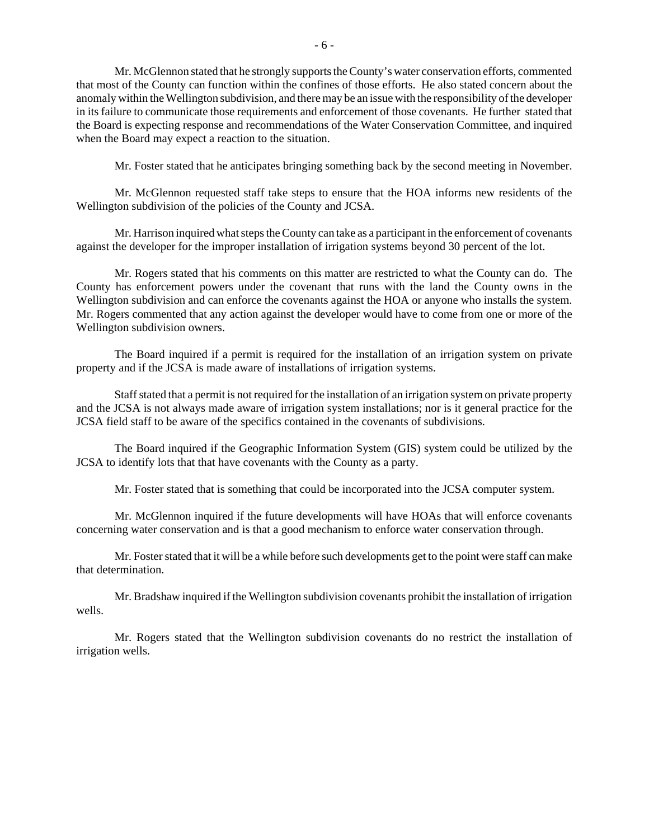Mr. McGlennon stated that he strongly supports the County's water conservation efforts, commented that most of the County can function within the confines of those efforts. He also stated concern about the anomaly within the Wellington subdivision, and there may be an issue with the responsibility of the developer in its failure to communicate those requirements and enforcement of those covenants. He further stated that the Board is expecting response and recommendations of the Water Conservation Committee, and inquired when the Board may expect a reaction to the situation.

Mr. Foster stated that he anticipates bringing something back by the second meeting in November.

Mr. McGlennon requested staff take steps to ensure that the HOA informs new residents of the Wellington subdivision of the policies of the County and JCSA.

Mr. Harrison inquired what steps the County can take as a participant in the enforcement of covenants against the developer for the improper installation of irrigation systems beyond 30 percent of the lot.

Mr. Rogers stated that his comments on this matter are restricted to what the County can do. The County has enforcement powers under the covenant that runs with the land the County owns in the Wellington subdivision and can enforce the covenants against the HOA or anyone who installs the system. Mr. Rogers commented that any action against the developer would have to come from one or more of the Wellington subdivision owners.

The Board inquired if a permit is required for the installation of an irrigation system on private property and if the JCSA is made aware of installations of irrigation systems.

Staff stated that a permit is not required for the installation of an irrigation system on private property and the JCSA is not always made aware of irrigation system installations; nor is it general practice for the JCSA field staff to be aware of the specifics contained in the covenants of subdivisions.

The Board inquired if the Geographic Information System (GIS) system could be utilized by the JCSA to identify lots that that have covenants with the County as a party.

Mr. Foster stated that is something that could be incorporated into the JCSA computer system.

Mr. McGlennon inquired if the future developments will have HOAs that will enforce covenants concerning water conservation and is that a good mechanism to enforce water conservation through.

Mr. Foster stated that it will be a while before such developments get to the point were staff can make that determination.

Mr. Bradshaw inquired if the Wellington subdivision covenants prohibit the installation of irrigation wells.

Mr. Rogers stated that the Wellington subdivision covenants do no restrict the installation of irrigation wells.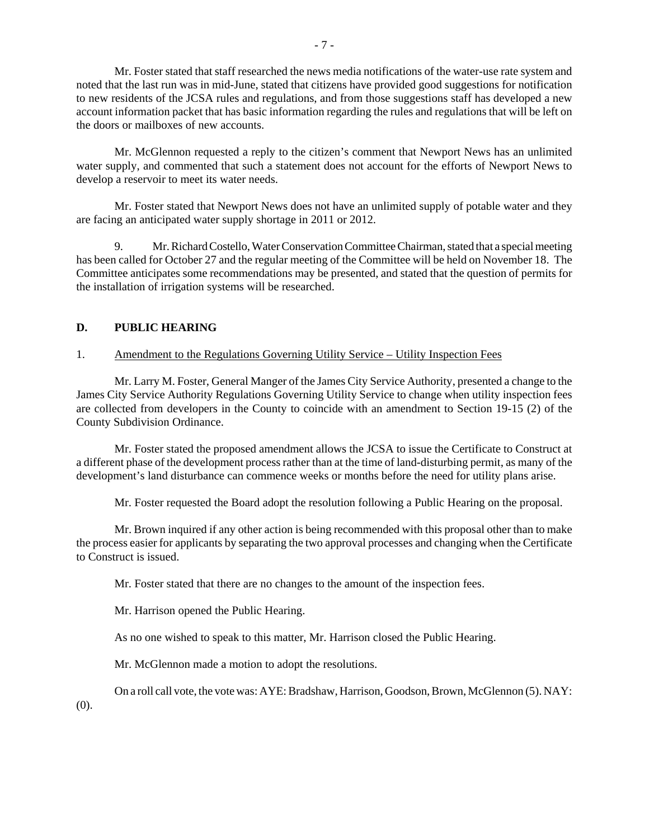Mr. Foster stated that staff researched the news media notifications of the water-use rate system and noted that the last run was in mid-June, stated that citizens have provided good suggestions for notification to new residents of the JCSA rules and regulations, and from those suggestions staff has developed a new account information packet that has basic information regarding the rules and regulations that will be left on the doors or mailboxes of new accounts.

Mr. McGlennon requested a reply to the citizen's comment that Newport News has an unlimited water supply, and commented that such a statement does not account for the efforts of Newport News to develop a reservoir to meet its water needs.

Mr. Foster stated that Newport News does not have an unlimited supply of potable water and they are facing an anticipated water supply shortage in 2011 or 2012.

9. Mr. Richard Costello, Water Conservation Committee Chairman, stated that a special meeting has been called for October 27 and the regular meeting of the Committee will be held on November 18. The Committee anticipates some recommendations may be presented, and stated that the question of permits for the installation of irrigation systems will be researched.

## **D. PUBLIC HEARING**

#### 1. Amendment to the Regulations Governing Utility Service – Utility Inspection Fees

Mr. Larry M. Foster, General Manger of the James City Service Authority, presented a change to the James City Service Authority Regulations Governing Utility Service to change when utility inspection fees are collected from developers in the County to coincide with an amendment to Section 19-15 (2) of the County Subdivision Ordinance.

Mr. Foster stated the proposed amendment allows the JCSA to issue the Certificate to Construct at a different phase of the development process rather than at the time of land-disturbing permit, as many of the development's land disturbance can commence weeks or months before the need for utility plans arise.

Mr. Foster requested the Board adopt the resolution following a Public Hearing on the proposal.

Mr. Brown inquired if any other action is being recommended with this proposal other than to make the process easier for applicants by separating the two approval processes and changing when the Certificate to Construct is issued.

Mr. Foster stated that there are no changes to the amount of the inspection fees.

Mr. Harrison opened the Public Hearing.

As no one wished to speak to this matter, Mr. Harrison closed the Public Hearing.

Mr. McGlennon made a motion to adopt the resolutions.

On a roll call vote, the vote was: AYE: Bradshaw, Harrison, Goodson, Brown, McGlennon (5). NAY:

(0).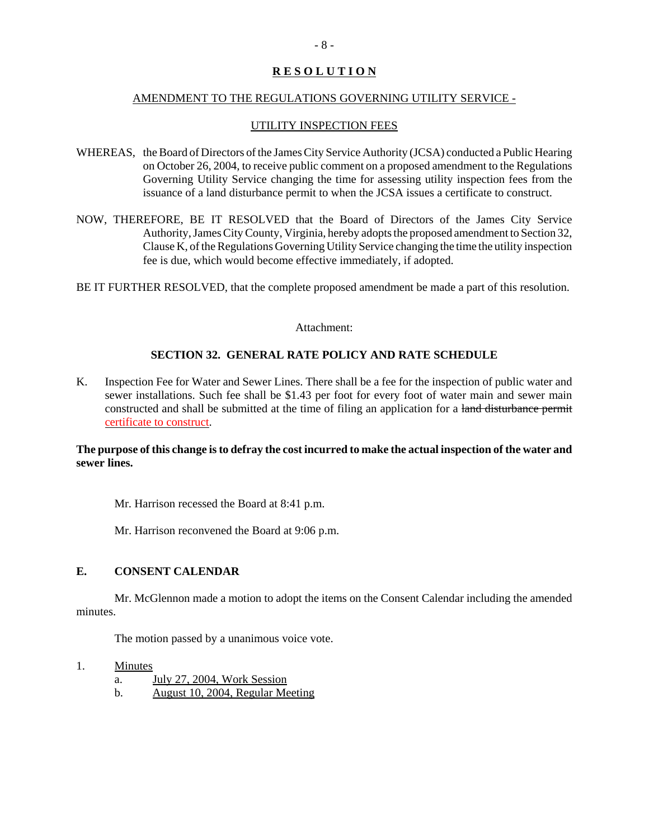## **R E S O L U T I O N**

#### AMENDMENT TO THE REGULATIONS GOVERNING UTILITY SERVICE -

#### UTILITY INSPECTION FEES

- WHEREAS, the Board of Directors of the James City Service Authority (JCSA) conducted a Public Hearing on October 26, 2004, to receive public comment on a proposed amendment to the Regulations Governing Utility Service changing the time for assessing utility inspection fees from the issuance of a land disturbance permit to when the JCSA issues a certificate to construct.
- NOW, THEREFORE, BE IT RESOLVED that the Board of Directors of the James City Service Authority, James City County, Virginia, hereby adopts the proposed amendment to Section 32, Clause K, of the Regulations Governing Utility Service changing the time the utility inspection fee is due, which would become effective immediately, if adopted.
- BE IT FURTHER RESOLVED, that the complete proposed amendment be made a part of this resolution.

#### Attachment:

## **SECTION 32. GENERAL RATE POLICY AND RATE SCHEDULE**

K. Inspection Fee for Water and Sewer Lines. There shall be a fee for the inspection of public water and sewer installations. Such fee shall be \$1.43 per foot for every foot of water main and sewer main constructed and shall be submitted at the time of filing an application for a land disturbance permit certificate to construct.

#### **The purpose of this change is to defray the cost incurred to make the actual inspection of the water and sewer lines.**

Mr. Harrison recessed the Board at 8:41 p.m.

Mr. Harrison reconvened the Board at 9:06 p.m.

## **E. CONSENT CALENDAR**

Mr. McGlennon made a motion to adopt the items on the Consent Calendar including the amended minutes.

The motion passed by a unanimous voice vote.

#### 1. Minutes

- a. July 27, 2004, Work Session
- b. August 10, 2004, Regular Meeting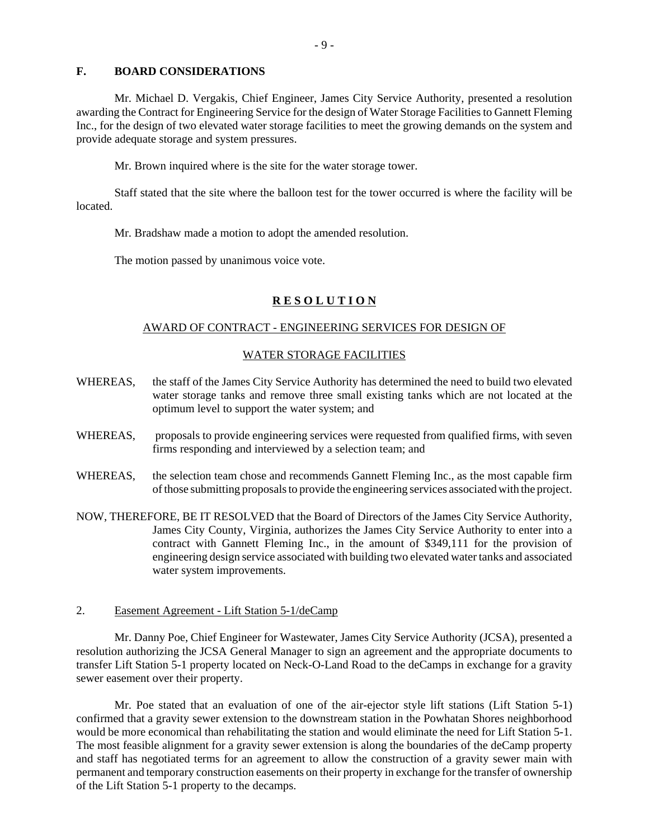#### **F. BOARD CONSIDERATIONS**

Mr. Michael D. Vergakis, Chief Engineer, James City Service Authority, presented a resolution awarding the Contract for Engineering Service for the design of Water Storage Facilities to Gannett Fleming Inc., for the design of two elevated water storage facilities to meet the growing demands on the system and provide adequate storage and system pressures.

Mr. Brown inquired where is the site for the water storage tower.

Staff stated that the site where the balloon test for the tower occurred is where the facility will be located.

Mr. Bradshaw made a motion to adopt the amended resolution.

The motion passed by unanimous voice vote.

#### **R E S O L U T I O N**

#### AWARD OF CONTRACT - ENGINEERING SERVICES FOR DESIGN OF

#### WATER STORAGE FACILITIES

- WHEREAS, the staff of the James City Service Authority has determined the need to build two elevated water storage tanks and remove three small existing tanks which are not located at the optimum level to support the water system; and
- WHEREAS, proposals to provide engineering services were requested from qualified firms, with seven firms responding and interviewed by a selection team; and
- WHEREAS, the selection team chose and recommends Gannett Fleming Inc., as the most capable firm of those submitting proposals to provide the engineering services associated with the project.
- NOW, THEREFORE, BE IT RESOLVED that the Board of Directors of the James City Service Authority, James City County, Virginia, authorizes the James City Service Authority to enter into a contract with Gannett Fleming Inc., in the amount of \$349,111 for the provision of engineering design service associated with building two elevated water tanks and associated water system improvements.
- 2. Easement Agreement Lift Station 5-1/deCamp

Mr. Danny Poe, Chief Engineer for Wastewater, James City Service Authority (JCSA), presented a resolution authorizing the JCSA General Manager to sign an agreement and the appropriate documents to transfer Lift Station 5-1 property located on Neck-O-Land Road to the deCamps in exchange for a gravity sewer easement over their property.

Mr. Poe stated that an evaluation of one of the air-ejector style lift stations (Lift Station 5-1) confirmed that a gravity sewer extension to the downstream station in the Powhatan Shores neighborhood would be more economical than rehabilitating the station and would eliminate the need for Lift Station 5-1. The most feasible alignment for a gravity sewer extension is along the boundaries of the deCamp property and staff has negotiated terms for an agreement to allow the construction of a gravity sewer main with permanent and temporary construction easements on their property in exchange for the transfer of ownership of the Lift Station 5-1 property to the decamps.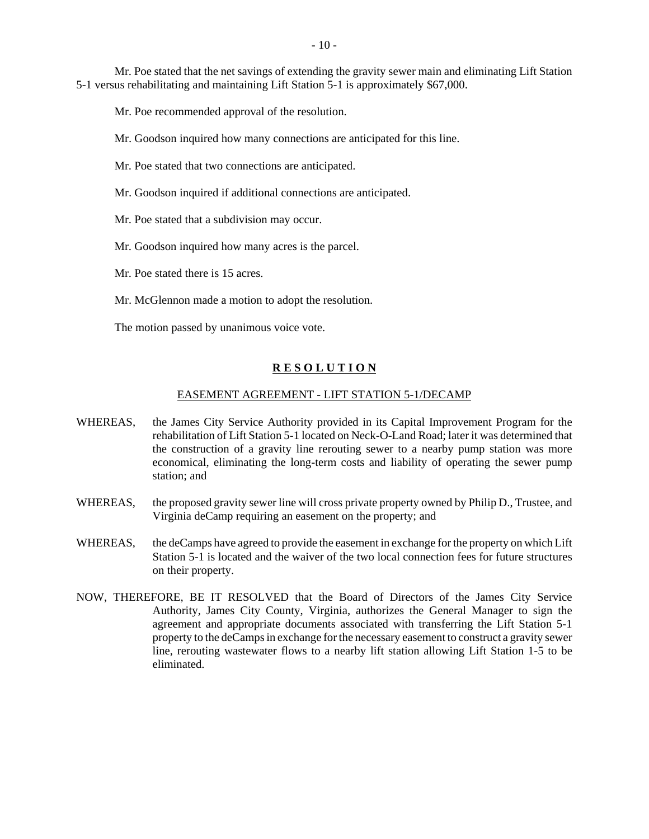Mr. Poe stated that the net savings of extending the gravity sewer main and eliminating Lift Station 5-1 versus rehabilitating and maintaining Lift Station 5-1 is approximately \$67,000.

Mr. Poe recommended approval of the resolution.

Mr. Goodson inquired how many connections are anticipated for this line.

- Mr. Poe stated that two connections are anticipated.
- Mr. Goodson inquired if additional connections are anticipated.
- Mr. Poe stated that a subdivision may occur.
- Mr. Goodson inquired how many acres is the parcel.
- Mr. Poe stated there is 15 acres.
- Mr. McGlennon made a motion to adopt the resolution.

The motion passed by unanimous voice vote.

#### **R E S O L U T I O N**

#### EASEMENT AGREEMENT - LIFT STATION 5-1/DECAMP

- WHEREAS, the James City Service Authority provided in its Capital Improvement Program for the rehabilitation of Lift Station 5-1 located on Neck-O-Land Road; later it was determined that the construction of a gravity line rerouting sewer to a nearby pump station was more economical, eliminating the long-term costs and liability of operating the sewer pump station; and
- WHEREAS, the proposed gravity sewer line will cross private property owned by Philip D., Trustee, and Virginia deCamp requiring an easement on the property; and
- WHEREAS, the deCamps have agreed to provide the easement in exchange for the property on which Lift Station 5-1 is located and the waiver of the two local connection fees for future structures on their property.
- NOW, THEREFORE, BE IT RESOLVED that the Board of Directors of the James City Service Authority, James City County, Virginia, authorizes the General Manager to sign the agreement and appropriate documents associated with transferring the Lift Station 5-1 property to the deCamps in exchange for the necessary easement to construct a gravity sewer line, rerouting wastewater flows to a nearby lift station allowing Lift Station 1-5 to be eliminated.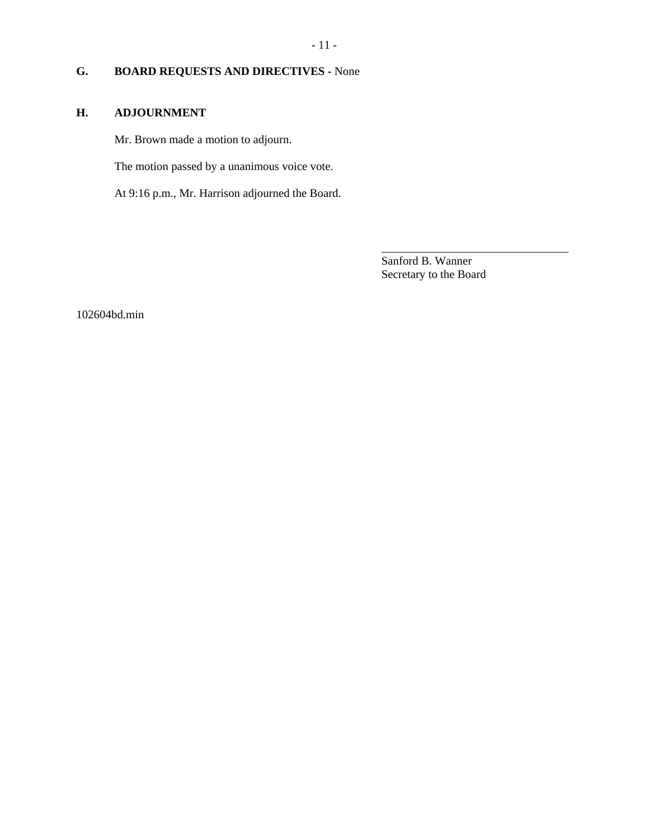# - 11 -

# **G. BOARD REQUESTS AND DIRECTIVES -** None

# **H. ADJOURNMENT**

Mr. Brown made a motion to adjourn.

The motion passed by a unanimous voice vote.

At 9:16 p.m., Mr. Harrison adjourned the Board.

Sanford B. Wanner Secretary to the Board

\_\_\_\_\_\_\_\_\_\_\_\_\_\_\_\_\_\_\_\_\_\_\_\_\_\_\_\_\_\_\_\_

102604bd.min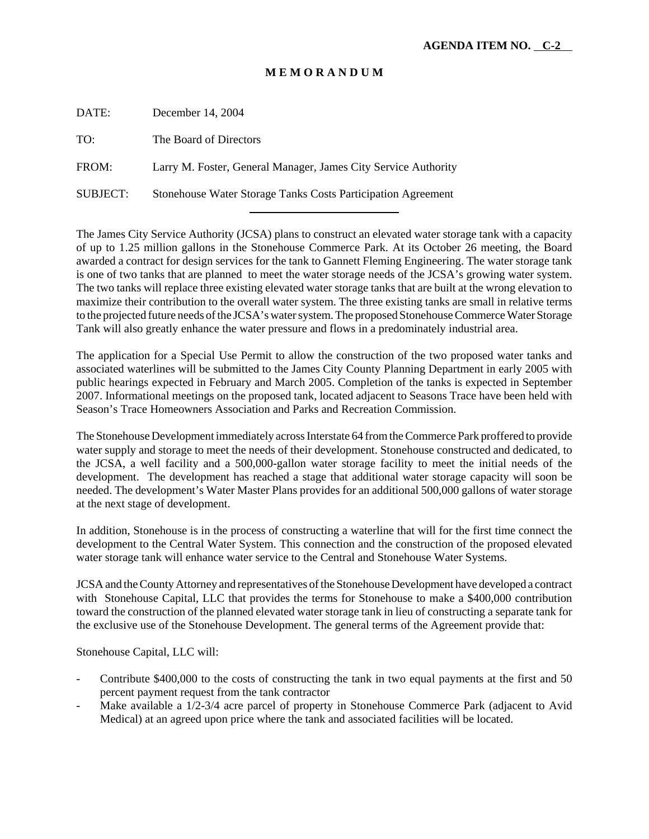## **M E M O R A N D U M**

| DATE:           | December 14, 2004                                                   |
|-----------------|---------------------------------------------------------------------|
| TO:             | The Board of Directors                                              |
| FROM:           | Larry M. Foster, General Manager, James City Service Authority      |
| <b>SUBJECT:</b> | <b>Stonehouse Water Storage Tanks Costs Participation Agreement</b> |
|                 |                                                                     |

The James City Service Authority (JCSA) plans to construct an elevated water storage tank with a capacity of up to 1.25 million gallons in the Stonehouse Commerce Park. At its October 26 meeting, the Board awarded a contract for design services for the tank to Gannett Fleming Engineering. The water storage tank is one of two tanks that are planned to meet the water storage needs of the JCSA's growing water system. The two tanks will replace three existing elevated water storage tanks that are built at the wrong elevation to maximize their contribution to the overall water system. The three existing tanks are small in relative terms to the projected future needs of the JCSA's water system. The proposed Stonehouse Commerce Water Storage Tank will also greatly enhance the water pressure and flows in a predominately industrial area.

The application for a Special Use Permit to allow the construction of the two proposed water tanks and associated waterlines will be submitted to the James City County Planning Department in early 2005 with public hearings expected in February and March 2005. Completion of the tanks is expected in September 2007. Informational meetings on the proposed tank, located adjacent to Seasons Trace have been held with Season's Trace Homeowners Association and Parks and Recreation Commission.

The Stonehouse Development immediately across Interstate 64 from the Commerce Park proffered to provide water supply and storage to meet the needs of their development. Stonehouse constructed and dedicated, to the JCSA, a well facility and a 500,000-gallon water storage facility to meet the initial needs of the development. The development has reached a stage that additional water storage capacity will soon be needed. The development's Water Master Plans provides for an additional 500,000 gallons of water storage at the next stage of development.

In addition, Stonehouse is in the process of constructing a waterline that will for the first time connect the development to the Central Water System. This connection and the construction of the proposed elevated water storage tank will enhance water service to the Central and Stonehouse Water Systems.

JCSA and the County Attorney and representatives of the Stonehouse Development have developed a contract with Stonehouse Capital, LLC that provides the terms for Stonehouse to make a \$400,000 contribution toward the construction of the planned elevated water storage tank in lieu of constructing a separate tank for the exclusive use of the Stonehouse Development. The general terms of the Agreement provide that:

Stonehouse Capital, LLC will:

- Contribute \$400,000 to the costs of constructing the tank in two equal payments at the first and 50 percent payment request from the tank contractor
- Make available a 1/2-3/4 acre parcel of property in Stonehouse Commerce Park (adjacent to Avid Medical) at an agreed upon price where the tank and associated facilities will be located.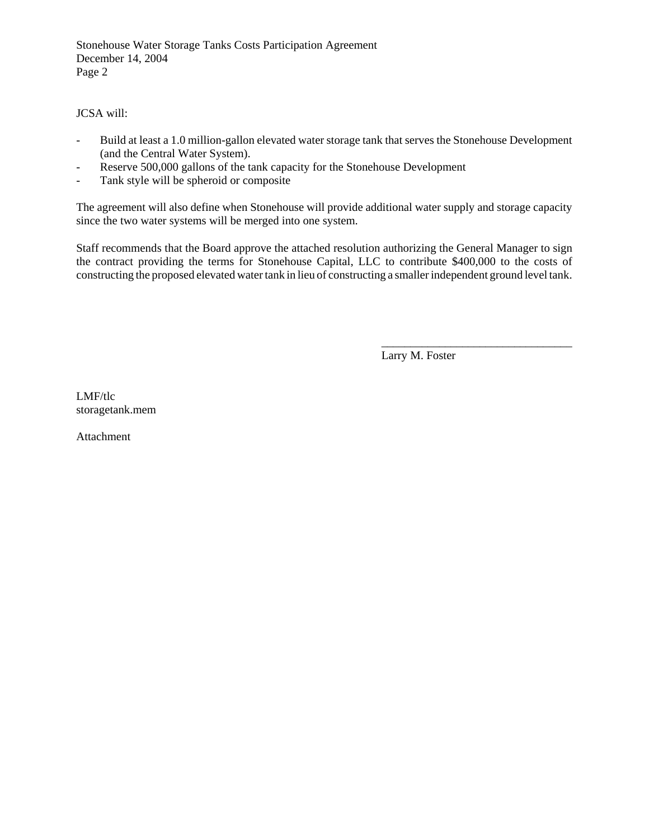Stonehouse Water Storage Tanks Costs Participation Agreement December 14, 2004 Page 2

JCSA will:

- Build at least a 1.0 million-gallon elevated water storage tank that serves the Stonehouse Development (and the Central Water System).
- Reserve 500,000 gallons of the tank capacity for the Stonehouse Development
- Tank style will be spheroid or composite

The agreement will also define when Stonehouse will provide additional water supply and storage capacity since the two water systems will be merged into one system.

Staff recommends that the Board approve the attached resolution authorizing the General Manager to sign the contract providing the terms for Stonehouse Capital, LLC to contribute \$400,000 to the costs of constructing the proposed elevated water tank in lieu of constructing a smaller independent ground level tank.

Larry M. Foster

\_\_\_\_\_\_\_\_\_\_\_\_\_\_\_\_\_\_\_\_\_\_\_\_\_\_\_\_\_\_\_\_\_

LMF/tlc storagetank.mem

Attachment